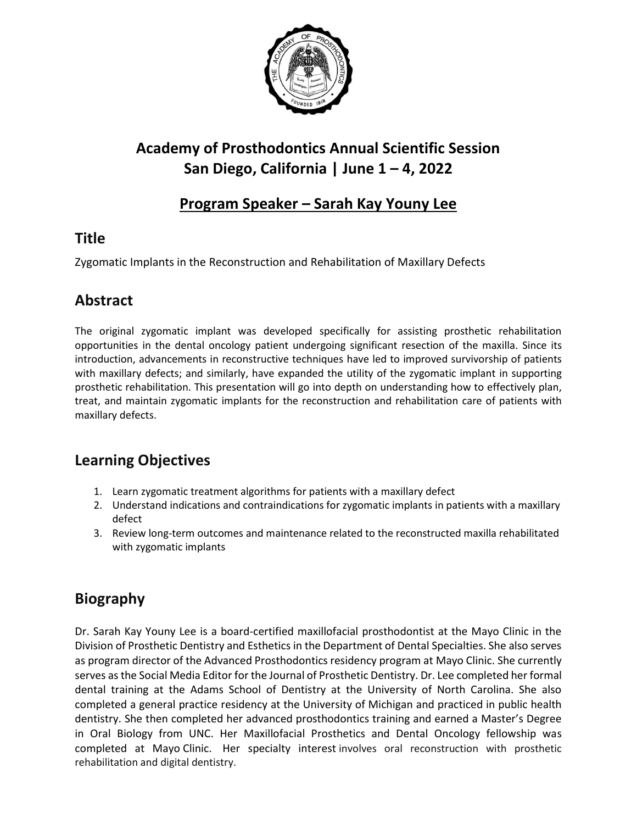

# **Academy of Prosthodontics Annual Scientific Session San Diego, California | June 1 – 4, 2022**

## **Program Speaker – Sarah Kay Youny Lee**

## **Title**

Zygomatic Implants in the Reconstruction and Rehabilitation of Maxillary Defects

#### **Abstract**

The original zygomatic implant was developed specifically for assisting prosthetic rehabilitation opportunities in the dental oncology patient undergoing significant resection of the maxilla. Since its introduction, advancements in reconstructive techniques have led to improved survivorship of patients with maxillary defects; and similarly, have expanded the utility of the zygomatic implant in supporting prosthetic rehabilitation. This presentation will go into depth on understanding how to effectively plan, treat, and maintain zygomatic implants for the reconstruction and rehabilitation care of patients with maxillary defects.

## **Learning Objectives**

- 1. Learn zygomatic treatment algorithms for patients with a maxillary defect
- 2. Understand indications and contraindications for zygomatic implants in patients with a maxillary defect
- 3. Review long-term outcomes and maintenance related to the reconstructed maxilla rehabilitated with zygomatic implants

## **Biography**

Dr. Sarah Kay Youny Lee is a board-certified maxillofacial prosthodontist at the Mayo Clinic in the Division of Prosthetic Dentistry and Esthetics in the Department of Dental Specialties. She also serves as program director of the Advanced Prosthodontics residency program at Mayo Clinic. She currently serves as the Social Media Editor for the Journal of Prosthetic Dentistry. Dr. Lee completed her formal dental training at the Adams School of Dentistry at the University of North Carolina. She also completed a general practice residency at the University of Michigan and practiced in public health dentistry. She then completed her advanced prosthodontics training and earned a Master's Degree in Oral Biology from UNC. Her Maxillofacial Prosthetics and Dental Oncology fellowship was completed at Mayo Clinic. Her specialty interest involves oral reconstruction with prosthetic rehabilitation and digital dentistry.